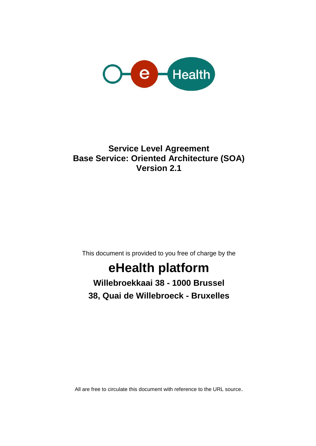

### **Service Level Agreement Base Service: Oriented Architecture (SOA) Version 2.1**

This document is provided to you free of charge by the

# **eHealth platform**

**Willebroekkaai 38 - 1000 Brussel 38, Quai de Willebroeck - Bruxelles**

All are free to circulate this document with reference to the URL source.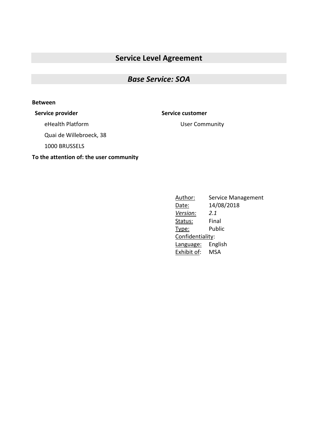### **Service Level Agreement**

### *Base Service: SOA*

#### **Between**

**Service provider Service customer**

eHealth Platform

Quai de Willebroeck, 38

1000 BRUSSELS

**To the attention of: the user community**

User Community

Author: Service Management Date: 14/08/2018 *Version: 2.1* Status: Final Type: Public Confidentiality: Language: English Exhibit of: MSA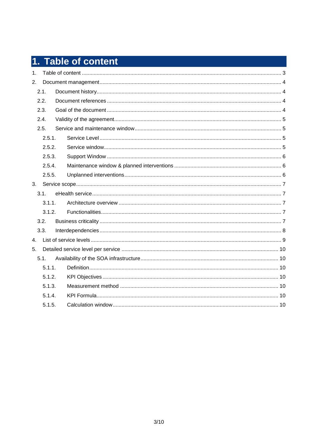# 1. Table of content

| 1.             |        |  |  |
|----------------|--------|--|--|
| 2.             |        |  |  |
|                | 2.1.   |  |  |
|                | 2.2.   |  |  |
|                | 2.3.   |  |  |
|                | 2.4.   |  |  |
|                | 2.5.   |  |  |
|                | 2.5.1. |  |  |
|                | 2.5.2. |  |  |
|                | 2.5.3. |  |  |
|                | 2.5.4. |  |  |
|                | 2.5.5. |  |  |
| 3.             |        |  |  |
|                |        |  |  |
|                | 3.1.   |  |  |
|                | 3.1.1. |  |  |
|                | 3.1.2. |  |  |
|                | 3.2.   |  |  |
|                | 3.3.   |  |  |
| 4.             |        |  |  |
| 5 <sub>1</sub> |        |  |  |
|                | 5.1.   |  |  |
|                | 5.1.1. |  |  |
|                | 5.1.2. |  |  |
|                | 5.1.3. |  |  |
|                | 5.1.4. |  |  |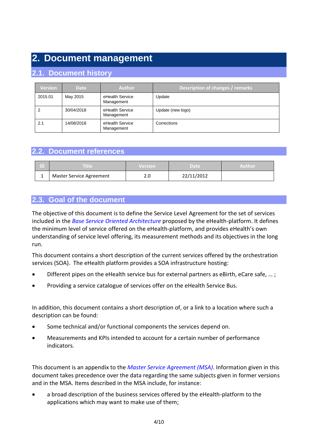### **2. Document management**

### **2.1. Document history**

| <b>Version</b> | <b>Date</b> | <b>Author</b>                 | Description of changes / remarks |
|----------------|-------------|-------------------------------|----------------------------------|
| 2015.01        | May 2015    | eHealth Service<br>Management | Update                           |
|                | 30/04/2018  | eHealth Service<br>Management | Update (new logo)                |
| 2.1            | 14/08/2018  | eHealth Service<br>Management | Corrections                      |

### **2.2. Document references**

| D | Title                           | <b>Version</b> | Date       | Author |
|---|---------------------------------|----------------|------------|--------|
| ᅩ | <b>Master Service Agreement</b> | ∽<br>z.u       | 22/11/2012 |        |

### **2.3. Goal of the document**

The objective of this document is to define the Service Level Agreement for the set of services included in the *Base Service Oriented Architecture* proposed by the eHealth-platform. It defines the minimum level of service offered on the eHealth-platform, and provides eHealth's own understanding of service level offering, its measurement methods and its objectives in the long run.

This document contains a short description of the current services offered by the orchestration services (SOA). The eHealth platform provides a SOA infrastructure hosting:

- Different pipes on the eHealth service bus for external partners as eBirth, eCare safe, ...;
- Providing a service catalogue of services offer on the eHealth Service Bus.

In addition, this document contains a short description of, or a link to a location where such a description can be found:

- Some technical and/or functional components the services depend on.
- Measurements and KPIs intended to account for a certain number of performance indicators.

This document is an appendix to the *Master Service Agreement (MSA)*. Information given in this document takes precedence over the data regarding the same subjects given in former versions and in the MSA. Items described in the MSA include, for instance:

 a broad description of the business services offered by the eHealth-platform to the applications which may want to make use of them;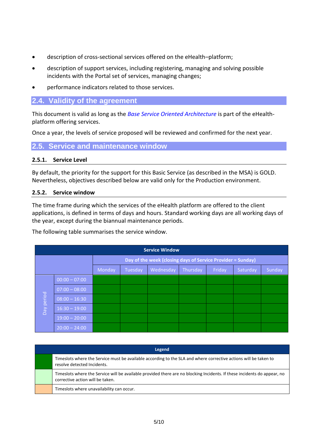- description of cross-sectional services offered on the eHealth–platform;
- description of support services, including registering, managing and solving possible incidents with the Portal set of services, managing changes;
- performance indicators related to those services.

### **2.4. Validity of the agreement**

This document is valid as long as the *Base Service Oriented Architecture* is part of the eHealthplatform offering services.

Once a year, the levels of service proposed will be reviewed and confirmed for the next year.

**2.5. Service and maintenance window**

#### **2.5.1. Service Level**

By default, the priority for the support for this Basic Service (as described in the MSA) is GOLD. Nevertheless, objectives described below are valid only for the Production environment.

#### **2.5.2. Service window**

The time frame during which the services of the eHealth platform are offered to the client applications, is defined in terms of days and hours. Standard working days are all working days of the year, except during the biannual maintenance periods.

The following table summarises the service window.

|            | <b>Service Window</b> |                                                             |         |           |          |        |          |        |
|------------|-----------------------|-------------------------------------------------------------|---------|-----------|----------|--------|----------|--------|
|            |                       | Day of the week (closing days of Service Provider = Sunday) |         |           |          |        |          |        |
|            |                       | Monday                                                      | Tuesday | Wednesday | Thursday | Friday | Saturday | Sunday |
|            | $00:00 - 07:00$       |                                                             |         |           |          |        |          |        |
|            | $07:00 - 08:00$       |                                                             |         |           |          |        |          |        |
| Day period | $08:00 - 16:30$       |                                                             |         |           |          |        |          |        |
|            | $16:30 - 19:00$       |                                                             |         |           |          |        |          |        |
|            | $19:00 - 20:00$       |                                                             |         |           |          |        |          |        |
|            | $20:00 - 24:00$       |                                                             |         |           |          |        |          |        |

| Legend                                                                                                                                                       |  |  |  |  |
|--------------------------------------------------------------------------------------------------------------------------------------------------------------|--|--|--|--|
| Timeslots where the Service must be available according to the SLA and where corrective actions will be taken to<br>resolve detected Incidents.              |  |  |  |  |
| Timeslots where the Service will be available provided there are no blocking Incidents. If these incidents do appear, no<br>corrective action will be taken. |  |  |  |  |
| Timeslots where unavailability can occur.                                                                                                                    |  |  |  |  |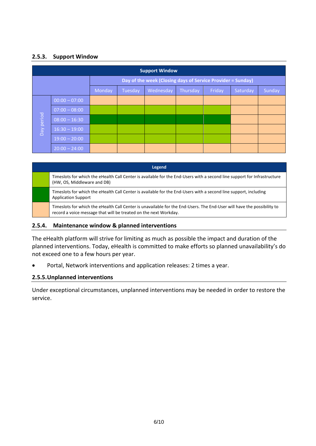### **2.5.3. Support Window**

|                                                             | <b>Support Window</b> |        |         |           |          |        |          |        |
|-------------------------------------------------------------|-----------------------|--------|---------|-----------|----------|--------|----------|--------|
| Day of the week (Closing days of Service Provider = Sunday) |                       |        |         |           |          |        |          |        |
|                                                             |                       | Monday | Tuesday | Wednesday | Thursday | Friday | Saturday | Sunday |
|                                                             | $00:00 - 07:00$       |        |         |           |          |        |          |        |
|                                                             | $07:00 - 08:00$       |        |         |           |          |        |          |        |
| Day period                                                  | $08:00 - 16:30$       |        |         |           |          |        |          |        |
|                                                             | $16:30 - 19:00$       |        |         |           |          |        |          |        |
|                                                             | $19:00 - 20:00$       |        |         |           |          |        |          |        |
|                                                             | $20:00 - 24:00$       |        |         |           |          |        |          |        |

| Legend                                                                                                                                                                                      |  |  |  |  |  |
|---------------------------------------------------------------------------------------------------------------------------------------------------------------------------------------------|--|--|--|--|--|
| Timeslots for which the eHealth Call Center is available for the End-Users with a second line support for Infrastructure<br>(HW, OS, Middleware and DB)                                     |  |  |  |  |  |
| Timeslots for which the eHealth Call Center is available for the End-Users with a second line support, including<br><b>Application Support</b>                                              |  |  |  |  |  |
| Timeslots for which the eHealth Call Center is unavailable for the End-Users. The End-User will have the possibility to<br>record a voice message that will be treated on the next Workday. |  |  |  |  |  |

#### **2.5.4. Maintenance window & planned interventions**

The eHealth platform will strive for limiting as much as possible the impact and duration of the planned interventions. Today, eHealth is committed to make efforts so planned unavailability's do not exceed one to a few hours per year.

Portal, Network interventions and application releases: 2 times a year.

#### **2.5.5.Unplanned interventions**

Under exceptional circumstances, unplanned interventions may be needed in order to restore the service.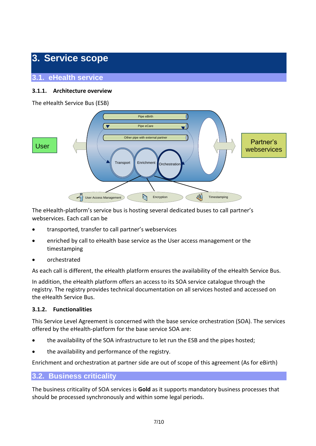### **3. Service scope**

**3.1. eHealth service**

### **3.1.1. Architecture overview**

The eHealth Service Bus (ESB)



The eHealth-platform's service bus is hosting several dedicated buses to call partner's webservices. Each call can be

- transported, transfer to call partner's webservices
- enriched by call to eHealth base service as the User access management or the timestamping
- orchestrated

As each call is different, the eHealth platform ensures the availability of the eHealth Service Bus.

In addition, the eHealth platform offers an access to its SOA service catalogue through the registry. The registry provides technical documentation on all services hosted and accessed on the eHealth Service Bus.

### **3.1.2. Functionalities**

This Service Level Agreement is concerned with the base service orchestration (SOA). The services offered by the eHealth-platform for the base service SOA are:

- the availability of the SOA infrastructure to let run the ESB and the pipes hosted;
- the availability and performance of the registry.

Enrichment and orchestration at partner side are out of scope of this agreement (As for eBirth)

### **3.2. Business criticality**

The business criticality of SOA services is **Gold** as it supports mandatory business processes that should be processed synchronously and within some legal periods.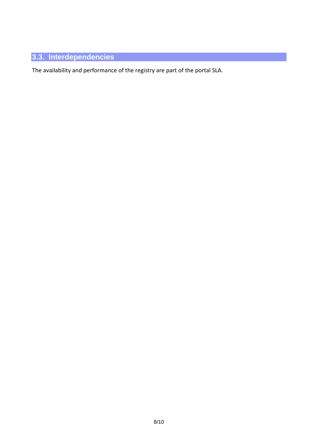### **3.3. Interdependencies**

The availability and performance of the registry are part of the portal SLA.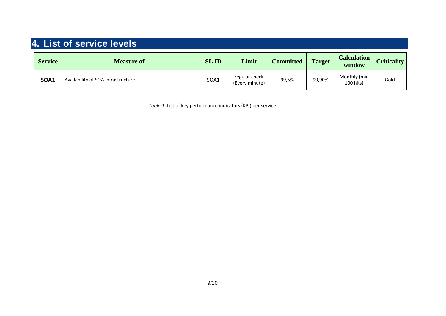## **4. List of service levels**

| <b>Service</b> | <b>Measure of</b>                  | <b>SLID</b> | Limit                           | <b>Committed</b> | <b>Target</b> | <b>Calculation</b><br>window | <b>Criticality</b> |
|----------------|------------------------------------|-------------|---------------------------------|------------------|---------------|------------------------------|--------------------|
| <b>SOA1</b>    | Availability of SOA infrastructure | SOA1        | regular check<br>(Every minute) | 99,5%            | 99,90%        | Monthly (min<br>100 hits)    | Gold               |

*Table 1:* List of key performance indicators (KPI) per service